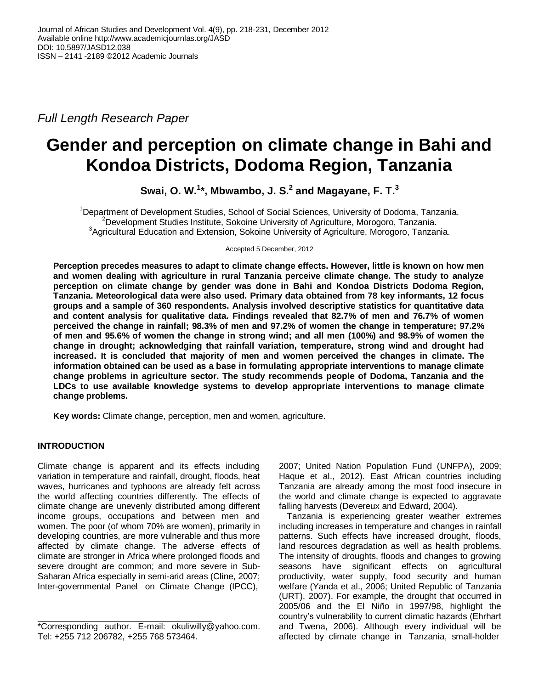*Full Length Research Paper*

# **Gender and perception on climate change in Bahi and Kondoa Districts, Dodoma Region, Tanzania**

**Swai, O. W. 1 \*, Mbwambo, J. S. 2 and Magayane, F. T. 3**

<sup>1</sup>Department of Development Studies, School of Social Sciences, University of Dodoma, Tanzania. <sup>2</sup>Development Studies Institute, Sokoine University of Agriculture, Morogoro, Tanzania. <sup>3</sup>Agricultural Education and Extension, Sokoine University of Agriculture, Morogoro, Tanzania.

Accepted 5 December, 2012

**Perception precedes measures to adapt to climate change effects. However, little is known on how men and women dealing with agriculture in rural Tanzania perceive climate change. The study to analyze perception on climate change by gender was done in Bahi and Kondoa Districts Dodoma Region, Tanzania. Meteorological data were also used. Primary data obtained from 78 key informants, 12 focus groups and a sample of 360 respondents. Analysis involved descriptive statistics for quantitative data and content analysis for qualitative data. Findings revealed that 82.7% of men and 76.7% of women perceived the change in rainfall; 98.3% of men and 97.2% of women the change in temperature; 97.2% of men and 95.6% of women the change in strong wind; and all men (100%) and 98.9% of women the change in drought; acknowledging that rainfall variation, temperature, strong wind and drought had increased. It is concluded that majority of men and women perceived the changes in climate. The information obtained can be used as a base in formulating appropriate interventions to manage climate change problems in agriculture sector. The study recommends people of Dodoma, Tanzania and the LDCs to use available knowledge systems to develop appropriate interventions to manage climate change problems.**

**Key words:** Climate change, perception, men and women, agriculture.

# **INTRODUCTION**

Climate change is apparent and its effects including variation in temperature and rainfall, drought, floods, heat waves, hurricanes and typhoons are already felt across the world affecting countries differently. The effects of climate change are unevenly distributed among different income groups, occupations and between men and women. The poor (of whom 70% are women), primarily in developing countries, are more vulnerable and thus more affected by climate change. The adverse effects of climate are stronger in Africa where prolonged floods and severe drought are common; and more severe in Sub-Saharan Africa especially in semi-arid areas (Cline, 2007; Inter-governmental Panel on Climate Change (IPCC),

2007; United Nation Population Fund (UNFPA), 2009; Haque et al., 2012). East African countries including Tanzania are already among the most food insecure in the world and climate change is expected to aggravate falling harvests (Devereux and Edward, 2004).

Tanzania is experiencing greater weather extremes including increases in temperature and changes in rainfall patterns. Such effects have increased drought, floods, land resources degradation as well as health problems. The intensity of droughts, floods and changes to growing seasons have significant effects on agricultural productivity, water supply, food security and human welfare (Yanda et al., 2006; United Republic of Tanzania (URT), 2007). For example, the drought that occurred in 2005/06 and the El Niño in 1997/98, highlight the country's vulnerability to current climatic hazards (Ehrhart and Twena, 2006). Although every individual will be affected by climate change in Tanzania, small-holder

<sup>\*</sup>Corresponding author. E-mail: [okuliwilly@yahoo.com.](mailto:okuliwilly@yahoo.com) Tel: +255 712 206782, +255 768 573464.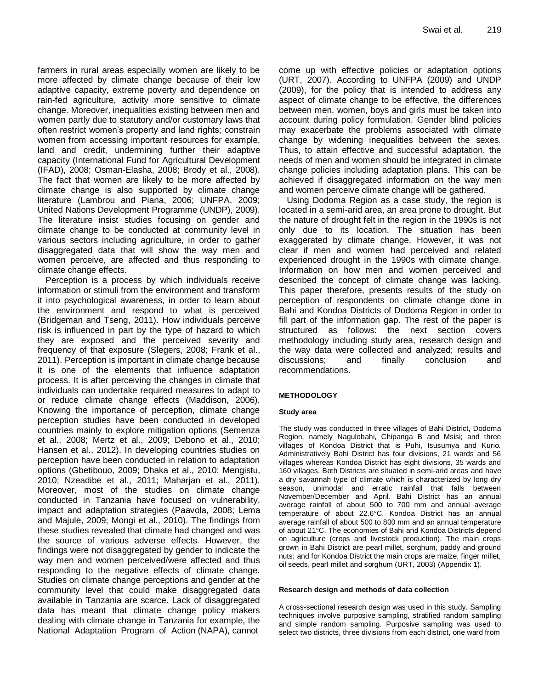farmers in rural areas especially women are likely to be more affected by climate change because of their low adaptive capacity, extreme poverty and dependence on rain-fed agriculture, activity more sensitive to climate change. Moreover, inequalities existing between men and women partly due to statutory and/or customary laws that often restrict women's property and land rights; constrain women from accessing important resources for example, land and credit, undermining further their adaptive capacity (International Fund for Agricultural Development (IFAD), 2008; Osman-Elasha, 2008; Brody et al., 2008). The fact that women are likely to be more affected by climate change is also supported by climate change literature (Lambrou and Piana, 2006; UNFPA, 2009; United Nations Development Programme (UNDP), 2009). The literature insist studies focusing on gender and climate change to be conducted at community level in various sectors including agriculture, in order to gather disaggregated data that will show the way men and women perceive, are affected and thus responding to climate change effects.

Perception is a process by which individuals receive information or stimuli from the environment and transform it into psychological awareness, in order to learn about the environment and respond to what is perceived (Bridgeman and Tseng, 2011). How individuals perceive risk is influenced in part by the type of hazard to which they are exposed and the perceived severity and frequency of that exposure (Slegers, 2008; Frank et al., 2011). Perception is important in climate change because it is one of the elements that influence adaptation process. It is after perceiving the changes in climate that individuals can undertake required measures to adapt to or reduce climate change effects (Maddison, 2006). Knowing the importance of perception, climate change perception studies have been conducted in developed countries mainly to explore mitigation options (Semenza et al., 2008; Mertz et al., 2009; Debono et al., 2010; Hansen et al., 2012). In developing countries studies on perception have been conducted in relation to adaptation options (Gbetibouo, 2009; Dhaka et al., 2010; Mengistu, 2010; Nzeadibe et al., 2011; Maharjan et al., 2011). Moreover, most of the studies on climate change conducted in Tanzania have focused on vulnerability, impact and adaptation strategies (Paavola, 2008; Lema and Majule, 2009; Mongi et al., 2010). The findings from these studies revealed that climate had changed and was the source of various adverse effects. However, the findings were not disaggregated by gender to indicate the way men and women perceived/were affected and thus responding to the negative effects of climate change. Studies on climate change perceptions and gender at the community level that could make disaggregated data available in Tanzania are scarce. Lack of disaggregated data has meant that climate change policy makers dealing with climate change in Tanzania for example, the National Adaptation Program of Action (NAPA), cannot

come up with effective policies or adaptation options (URT, 2007). According to UNFPA (2009) and UNDP (2009), for the policy that is intended to address any aspect of climate change to be effective, the differences between men, women, boys and girls must be taken into account during policy formulation. Gender blind policies may exacerbate the problems associated with climate change by widening inequalities between the sexes. Thus, to attain effective and successful adaptation, the needs of men and women should be integrated in climate change policies including adaptation plans. This can be achieved if disaggregated information on the way men and women perceive climate change will be gathered.

Using Dodoma Region as a case study, the region is located in a semi-arid area, an area prone to drought. But the nature of drought felt in the region in the 1990s is not only due to its location. The situation has been exaggerated by climate change. However, it was not clear if men and women had perceived and related experienced drought in the 1990s with climate change. Information on how men and women perceived and described the concept of climate change was lacking. This paper therefore, presents results of the study on perception of respondents on climate change done in Bahi and Kondoa Districts of Dodoma Region in order to fill part of the information gap. The rest of the paper is structured as follows: the next section covers methodology including study area, research design and the way data were collected and analyzed; results and discussions; and finally conclusion and recommendations.

#### **METHODOLOGY**

#### **Study area**

The study was conducted in three villages of Bahi District, Dodoma Region, namely Nagulobahi, Chipanga B and Msisi; and three villages of Kondoa District that is Puhi, Isusumya and Kurio. Administratively Bahi District has four divisions, 21 wards and 56 villages whereas Kondoa District has eight divisions, 35 wards and 160 villages. Both Districts are situated in semi-arid areas and have a dry savannah type of climate which is characterized by long dry season, unimodal and erratic rainfall that falls between November/December and April. Bahi District has an annual average rainfall of about 500 to 700 mm and annual average temperature of about 22.6°C. Kondoa District has an annual average rainfall of about 500 to 800 mm and an annual temperature of about 21°C. The economies of Bahi and Kondoa Districts depend on agriculture (crops and livestock production). The main crops grown in Bahi District are pearl millet, sorghum, paddy and ground nuts; and for Kondoa District the main crops are maize, finger millet, oil seeds, pearl millet and sorghum (URT, 2003) (Appendix 1).

#### **Research design and methods of data collection**

A cross-sectional research design was used in this study. Sampling techniques involve purposive sampling, stratified random sampling and simple random sampling. Purposive sampling was used to select two districts, three divisions from each district, one ward from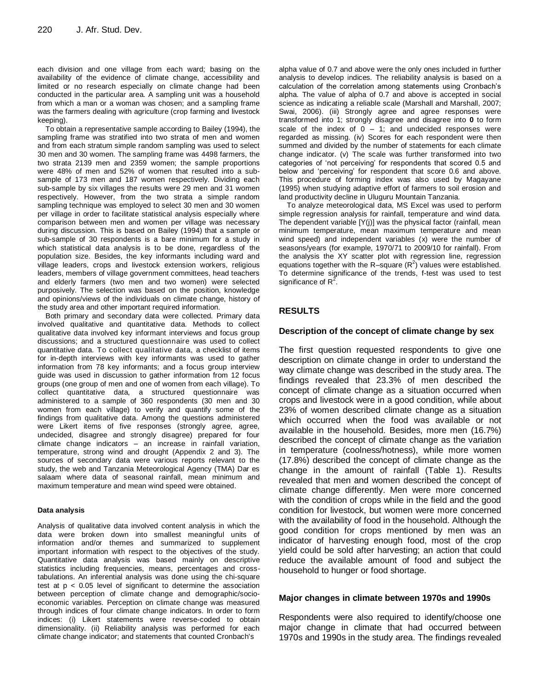each division and one village from each ward; basing on the availability of the evidence of climate change, accessibility and limited or no research especially on climate change had been conducted in the particular area. A sampling unit was a household from which a man or a woman was chosen; and a sampling frame was the farmers dealing with agriculture (crop farming and livestock keeping).

To obtain a representative sample according to Bailey (1994), the sampling frame was stratified into two strata of men and women and from each stratum simple random sampling was used to select 30 men and 30 women. The sampling frame was 4498 farmers, the two strata 2139 men and 2359 women; the sample proportions were 48% of men and 52% of women that resulted into a subsample of 173 men and 187 women respectively. Dividing each sub-sample by six villages the results were 29 men and 31 women respectively. However, from the two strata a simple random sampling technique was employed to select 30 men and 30 women per village in order to facilitate statistical analysis especially where comparison between men and women per village was necessary during discussion. This is based on Bailey (1994) that a sample or sub-sample of 30 respondents is a bare minimum for a study in which statistical data analysis is to be done, regardless of the population size. Besides, the key informants including ward and village leaders, crops and livestock extension workers, religious leaders, members of village government committees, head teachers and elderly farmers (two men and two women) were selected purposively. The selection was based on the position, knowledge and opinions/views of the individuals on climate change, history of the study area and other important required information.

Both primary and secondary data were collected. Primary data involved qualitative and quantitative data. Methods to collect qualitative data involved key informant interviews and focus group discussions; and a structured questionnaire was used to collect quantitative data. To collect qualitative data, a checklist of items for in-depth interviews with key informants was used to gather information from 78 key informants; and a focus group interview guide was used in discussion to gather information from 12 focus groups (one group of men and one of women from each village). To collect quantitative data, a structured questionnaire was administered to a sample of 360 respondents (30 men and 30 women from each village) to verify and quantify some of the findings from qualitative data. Among the questions administered were Likert items of five responses (strongly agree, agree, undecided, disagree and strongly disagree) prepared for four climate change indicators – an increase in rainfall variation, temperature, strong wind and drought (Appendix 2 and 3). The sources of secondary data were various reports relevant to the study, the web and Tanzania Meteorological Agency (TMA) Dar es salaam where data of seasonal rainfall, mean minimum and maximum temperature and mean wind speed were obtained.

#### **Data analysis**

Analysis of qualitative data involved content analysis in which the data were broken down into smallest meaningful units of information and/or themes and summarized to supplement important information with respect to the objectives of the study. Quantitative data analysis was based mainly on descriptive statistics including frequencies, means, percentages and crosstabulations. An inferential analysis was done using the chi-square test at p < 0.05 level of significant to determine the association between perception of climate change and demographic/socioeconomic variables. Perception on climate change was measured through indices of four climate change indicators. In order to form indices: (i) Likert statements were reverse-coded to obtain dimensionality. (ii) Reliability analysis was performed for each climate change indicator; and statements that counted Cronbach's

alpha value of 0.7 and above were the only ones included in further analysis to develop indices. The reliability analysis is based on a calculation of the correlation among statements using Cronbach's alpha. The value of alpha of 0.7 and above is accepted in social science as indicating a reliable scale (Marshall and Marshall, 2007; Swai, 2006). (iii) Strongly agree and agree responses were transformed into 1; strongly disagree and disagree into **0** to form scale of the index of  $0 - 1$ ; and undecided responses were regarded as missing. (iv) Scores for each respondent were then summed and divided by the number of statements for each climate change indicator. (v) The scale was further transformed into two categories of 'not perceiving' for respondents that scored 0.5 and below and 'perceiving' for respondent that score 0.6 and above. This procedure of forming index was also used by Magayane (1995) when studying adaptive effort of farmers to soil erosion and land productivity decline in Uluguru Mountain Tanzania.

To analyze meteorological data, MS Excel was used to perform simple regression analysis for rainfall, temperature and wind data. The dependent variable [Y(j)] was the physical factor (rainfall, mean minimum temperature, mean maximum temperature and mean wind speed) and independent variables (x) were the number of seasons/years (for example, 1970/71 to 2009/10 for rainfall). From the analysis the XY scatter plot with regression line, regression equations together with the R-square  $(R^2)$  values were established. To determine significance of the trends, f-test was used to test significance of  $R^2$ .

# **RESULTS**

#### **Description of the concept of climate change by sex**

The first question requested respondents to give one description on climate change in order to understand the way climate change was described in the study area. The findings revealed that 23.3% of men described the concept of climate change as a situation occurred when crops and livestock were in a good condition, while about 23% of women described climate change as a situation which occurred when the food was available or not available in the household. Besides, more men (16.7%) described the concept of climate change as the variation in temperature (coolness/hotness), while more women (17.8%) described the concept of climate change as the change in the amount of rainfall (Table 1). Results revealed that men and women described the concept of climate change differently. Men were more concerned with the condition of crops while in the field and the good condition for livestock, but women were more concerned with the availability of food in the household. Although the good condition for crops mentioned by men was an indicator of harvesting enough food, most of the crop yield could be sold after harvesting; an action that could reduce the available amount of food and subject the household to hunger or food shortage.

#### **Major changes in climate between 1970s and 1990s**

Respondents were also required to identify/choose one major change in climate that had occurred between 1970s and 1990s in the study area. The findings revealed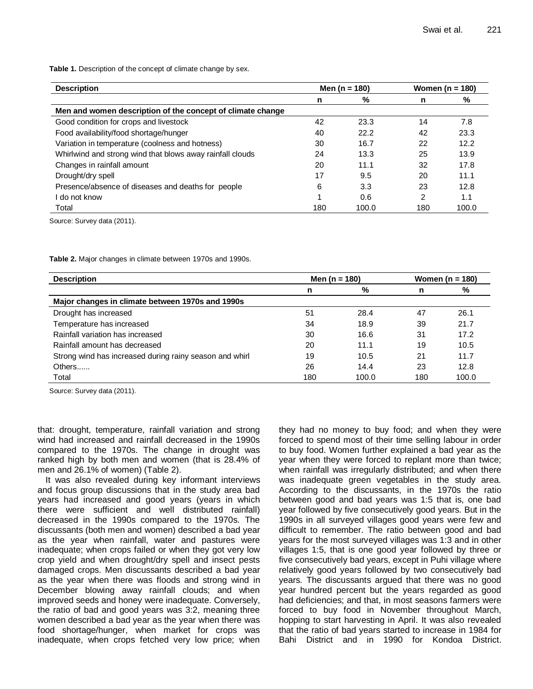Table 1. Description of the concept of climate change by sex.

| <b>Description</b>                                         | Men (n = 180) |       | Women ( $n = 180$ ) |       |
|------------------------------------------------------------|---------------|-------|---------------------|-------|
|                                                            | n             | %     | n                   | %     |
| Men and women description of the concept of climate change |               |       |                     |       |
| Good condition for crops and livestock                     | 42            | 23.3  | 14                  | 7.8   |
| Food availability/food shortage/hunger                     | 40            | 22.2  | 42                  | 23.3  |
| Variation in temperature (coolness and hotness)            | 30            | 16.7  | 22                  | 12.2  |
| Whirlwind and strong wind that blows away rainfall clouds  | 24            | 13.3  | 25                  | 13.9  |
| Changes in rainfall amount                                 | 20            | 11.1  | 32                  | 17.8  |
| Drought/dry spell                                          | 17            | 9.5   | 20                  | 11.1  |
| Presence/absence of diseases and deaths for people         | 6             | 3.3   | 23                  | 12.8  |
| do not know                                                |               | 0.6   | 2                   | 1.1   |
| Total                                                      | 180           | 100.0 | 180                 | 100.0 |

Source: Survey data (2011).

**Table 2.** Major changes in climate between 1970s and 1990s.

| <b>Description</b>                                      | Men (n = 180) |       | Women ( $n = 180$ ) |       |
|---------------------------------------------------------|---------------|-------|---------------------|-------|
|                                                         | n             | %     | n                   | %     |
| Major changes in climate between 1970s and 1990s        |               |       |                     |       |
| Drought has increased                                   | 51            | 28.4  | 47                  | 26.1  |
| Temperature has increased                               | 34            | 18.9  | 39                  | 21.7  |
| Rainfall variation has increased                        | 30            | 16.6  | 31                  | 17.2  |
| Rainfall amount has decreased                           | 20            | 11.1  | 19                  | 10.5  |
| Strong wind has increased during rainy season and whirl | 19            | 10.5  | 21                  | 11.7  |
| Others                                                  | 26            | 14.4  | 23                  | 12.8  |
| Total                                                   | 180           | 100.0 | 180                 | 100.0 |

Source: Survey data (2011).

that: drought, temperature, rainfall variation and strong wind had increased and rainfall decreased in the 1990s compared to the 1970s. The change in drought was ranked high by both men and women (that is 28.4% of men and 26.1% of women) (Table 2).

It was also revealed during key informant interviews and focus group discussions that in the study area bad years had increased and good years (years in which there were sufficient and well distributed rainfall) decreased in the 1990s compared to the 1970s. The discussants (both men and women) described a bad year as the year when rainfall, water and pastures were inadequate; when crops failed or when they got very low crop yield and when drought/dry spell and insect pests damaged crops. Men discussants described a bad year as the year when there was floods and strong wind in December blowing away rainfall clouds; and when improved seeds and honey were inadequate. Conversely, the ratio of bad and good years was 3:2, meaning three women described a bad year as the year when there was food shortage/hunger, when market for crops was inadequate, when crops fetched very low price; when they had no money to buy food; and when they were forced to spend most of their time selling labour in order to buy food. Women further explained a bad year as the year when they were forced to replant more than twice; when rainfall was irregularly distributed; and when there was inadequate green vegetables in the study area. According to the discussants, in the 1970s the ratio between good and bad years was 1:5 that is, one bad year followed by five consecutively good years. But in the 1990s in all surveyed villages good years were few and difficult to remember. The ratio between good and bad years for the most surveyed villages was 1:3 and in other villages 1:5, that is one good year followed by three or five consecutively bad years, except in Puhi village where relatively good years followed by two consecutively bad years. The discussants argued that there was no good year hundred percent but the years regarded as good had deficiencies; and that, in most seasons farmers were forced to buy food in November throughout March, hopping to start harvesting in April. It was also revealed that the ratio of bad years started to increase in 1984 for Bahi District and in 1990 for Kondoa District.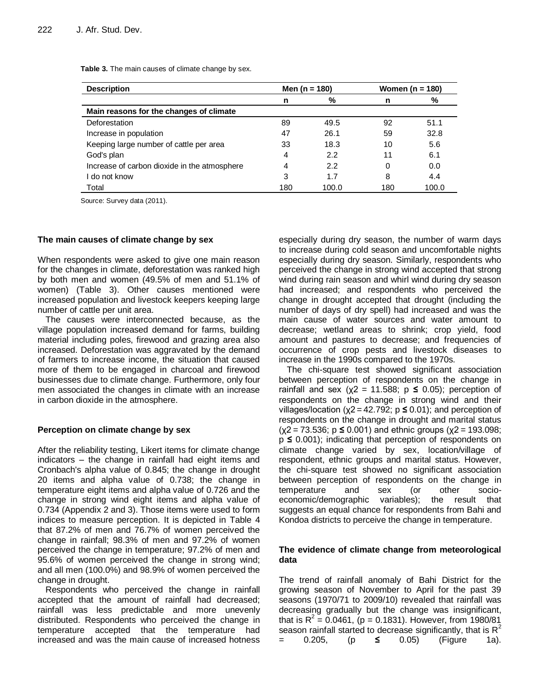**Table 3.** The main causes of climate change by sex.

| <b>Description</b>                           | Men (n = 180) |       | Women (n = 180) |       |  |
|----------------------------------------------|---------------|-------|-----------------|-------|--|
|                                              | n             | %     | n               | %     |  |
| Main reasons for the changes of climate      |               |       |                 |       |  |
| Deforestation                                | 89            | 49.5  | 92              | 51.1  |  |
| Increase in population                       | 47            | 26.1  | 59              | 32.8  |  |
| Keeping large number of cattle per area      | 33            | 18.3  | 10              | 5.6   |  |
| God's plan                                   | 4             | 2.2   | 11              | 6.1   |  |
| Increase of carbon dioxide in the atmosphere | 4             | 2.2   | 0               | 0.0   |  |
| do not know                                  | 3             | 1.7   | 8               | 4.4   |  |
| Total                                        | 180           | 100.0 | 180             | 100.0 |  |

Source: Survey data (2011).

#### **The main causes of climate change by sex**

When respondents were asked to give one main reason for the changes in climate, deforestation was ranked high by both men and women (49.5% of men and 51.1% of women) (Table 3). Other causes mentioned were increased population and livestock keepers keeping large number of cattle per unit area.

The causes were interconnected because, as the village population increased demand for farms, building material including poles, firewood and grazing area also increased. Deforestation was aggravated by the demand of farmers to increase income, the situation that caused more of them to be engaged in charcoal and firewood businesses due to climate change. Furthermore, only four men associated the changes in climate with an increase in carbon dioxide in the atmosphere.

## **Perception on climate change by sex**

After the reliability testing, Likert items for climate change indicators – the change in rainfall had eight items and Cronbach's alpha value of 0.845; the change in drought 20 items and alpha value of 0.738; the change in temperature eight items and alpha value of 0.726 and the change in strong wind eight items and alpha value of 0.734 (Appendix 2 and 3). Those items were used to form indices to measure perception. It is depicted in Table 4 that 87.2% of men and 76.7% of women perceived the change in rainfall; 98.3% of men and 97.2% of women perceived the change in temperature; 97.2% of men and 95.6% of women perceived the change in strong wind; and all men (100.0%) and 98.9% of women perceived the change in drought.

Respondents who perceived the change in rainfall accepted that the amount of rainfall had decreased; rainfall was less predictable and more unevenly distributed. Respondents who perceived the change in temperature accepted that the temperature had increased and was the main cause of increased hotness especially during dry season, the number of warm days to increase during cold season and uncomfortable nights especially during dry season. Similarly, respondents who perceived the change in strong wind accepted that strong wind during rain season and whirl wind during dry season had increased; and respondents who perceived the change in drought accepted that drought (including the number of days of dry spell) had increased and was the main cause of water sources and water amount to decrease; wetland areas to shrink; crop yield, food amount and pastures to decrease; and frequencies of occurrence of crop pests and livestock diseases to increase in the 1990s compared to the 1970s.

The chi-square test showed significant association between perception of respondents on the change in rainfall and sex  $(\chi^2 = 11.588; p \leq 0.05)$ ; perception of respondents on the change in strong wind and their villages/location (χ2 = 42.792; p **≤** 0.01); and perception of respondents on the change in drought and marital status (χ2 = 73.536; p **≤** 0.001) and ethnic groups (χ2 = 193.098; p **≤** 0.001); indicating that perception of respondents on climate change varied by sex, location/village of respondent, ethnic groups and marital status. However, the chi-square test showed no significant association between perception of respondents on the change in temperature and sex (or other socioeconomic/demographic variables); the result that suggests an equal chance for respondents from Bahi and Kondoa districts to perceive the change in temperature.

## **The evidence of climate change from meteorological data**

The trend of rainfall anomaly of Bahi District for the growing season of November to April for the past 39 seasons (1970/71 to 2009/10) revealed that rainfall was decreasing gradually but the change was insignificant, that is  $R^2 = 0.0461$ , (p = 0.1831). However, from 1980/81 season rainfall started to decrease significantly, that is  $R^2$ = 0.205, (p **≤** 0.05) (Figure 1a).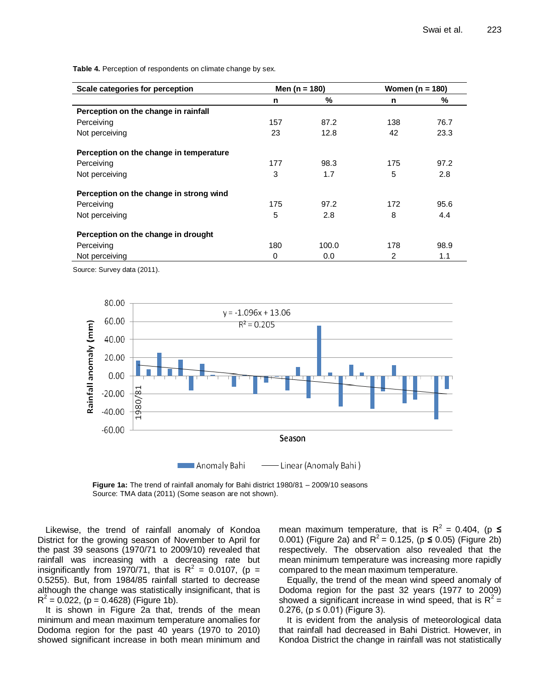**Table 4.** Perception of respondents on climate change by sex.

| Scale categories for perception         | Men ( $n = 180$ ) |       | Women ( $n = 180$ ) |      |
|-----------------------------------------|-------------------|-------|---------------------|------|
|                                         | n                 | %     | n                   | %    |
| Perception on the change in rainfall    |                   |       |                     |      |
| Perceiving                              | 157               | 87.2  | 138                 | 76.7 |
| Not perceiving                          | 23                | 12.8  | 42                  | 23.3 |
| Perception on the change in temperature |                   |       |                     |      |
| Perceiving                              | 177               | 98.3  | 175                 | 97.2 |
| Not perceiving                          | 3                 | 1.7   | 5                   | 2.8  |
| Perception on the change in strong wind |                   |       |                     |      |
| Perceiving                              | 175               | 97.2  | 172                 | 95.6 |
| Not perceiving                          | 5                 | 2.8   | 8                   | 4.4  |
| Perception on the change in drought     |                   |       |                     |      |
| Perceiving                              | 180               | 100.0 | 178                 | 98.9 |
| Not perceiving                          | 0                 | 0.0   | $\overline{2}$      | 1.1  |

Source: Survey data (2011).



**Figure 1a:** The trend of rainfall anomaly for Bahi district 1980/81 – 2009/10 seasons Source: TMA data (2011) (Some season are not shown).

Likewise, the trend of rainfall anomaly of Kondoa District for the growing season of November to April for the past 39 seasons (1970/71 to 2009/10) revealed that rainfall was increasing with a decreasing rate but insignificantly from 1970/71, that is  $R^2 = 0.0107$ , (p = 0.5255). But, from 1984/85 rainfall started to decrease although the change was statistically insignificant, that is  $R^2$  = 0.022, (p = 0.4628) (Figure 1b).

It is shown in Figure 2a that, trends of the mean minimum and mean maximum temperature anomalies for Dodoma region for the past 40 years (1970 to 2010) showed significant increase in both mean minimum and

mean maximum temperature, that is  $R^2 = 0.404$ , (p  $\leq$ 0.001) (Figure 2a) and  $R^2$  = 0.125, (p  $\leq$  0.05) (Figure 2b) respectively. The observation also revealed that the mean minimum temperature was increasing more rapidly compared to the mean maximum temperature.

Equally, the trend of the mean wind speed anomaly of Dodoma region for the past 32 years (1977 to 2009) showed a significant increase in wind speed, that is  $R^2 =$ 0.276, ( $p ≤ 0.01$ ) (Figure 3).

It is evident from the analysis of meteorological data that rainfall had decreased in Bahi District. However, in Kondoa District the change in rainfall was not statistically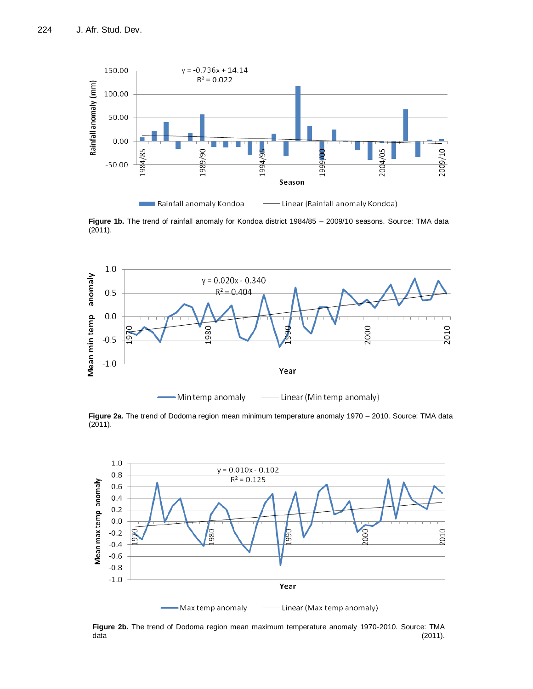

**Figure 1b.** The trend of rainfall anomaly for Kondoa district 1984/85 – 2009/10 seasons. Source: TMA data  $(2011).$ 



**Figure 2a.** The trend of Dodoma region mean minimum temperature anomaly 1970 – 2010. Source: TMA data (2011).



**Figure 2b.** The trend of Dodoma region mean maximum temperature anomaly 1970-2010. Source: TMA data (2011).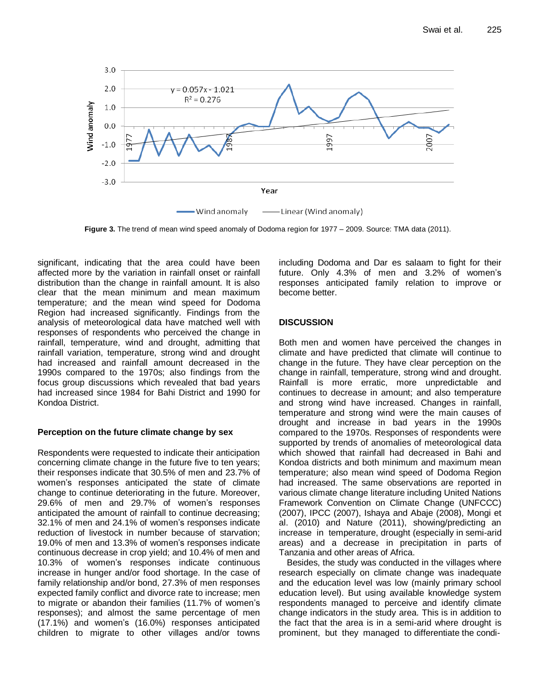

**Figure 3.** The trend of mean wind speed anomaly of Dodoma region for 1977 – 2009. Source: TMA data (2011).

significant, indicating that the area could have been affected more by the variation in rainfall onset or rainfall distribution than the change in rainfall amount. It is also clear that the mean minimum and mean maximum temperature; and the mean wind speed for Dodoma Region had increased significantly. Findings from the analysis of meteorological data have matched well with responses of respondents who perceived the change in rainfall, temperature, wind and drought, admitting that rainfall variation, temperature, strong wind and drought had increased and rainfall amount decreased in the 1990s compared to the 1970s; also findings from the focus group discussions which revealed that bad years had increased since 1984 for Bahi District and 1990 for Kondoa District.

## **Perception on the future climate change by sex**

Respondents were requested to indicate their anticipation concerning climate change in the future five to ten years; their responses indicate that 30.5% of men and 23.7% of women's responses anticipated the state of climate change to continue deteriorating in the future. Moreover, 29.6% of men and 29.7% of women's responses anticipated the amount of rainfall to continue decreasing; 32.1% of men and 24.1% of women's responses indicate reduction of livestock in number because of starvation; 19.0% of men and 13.3% of women's responses indicate continuous decrease in crop yield; and 10.4% of men and 10.3% of women's responses indicate continuous increase in hunger and/or food shortage. In the case of family relationship and/or bond, 27.3% of men responses expected family conflict and divorce rate to increase; men to migrate or abandon their families (11.7% of women's responses); and almost the same percentage of men (17.1%) and women's (16.0%) responses anticipated children to migrate to other villages and/or towns

including Dodoma and Dar es salaam to fight for their future. Only 4.3% of men and 3.2% of women's responses anticipated family relation to improve or become better.

# **DISCUSSION**

Both men and women have perceived the changes in climate and have predicted that climate will continue to change in the future. They have clear perception on the change in rainfall, temperature, strong wind and drought. Rainfall is more erratic, more unpredictable and continues to decrease in amount; and also temperature and strong wind have increased. Changes in rainfall, temperature and strong wind were the main causes of drought and increase in bad years in the 1990s compared to the 1970s. Responses of respondents were supported by trends of anomalies of meteorological data which showed that rainfall had decreased in Bahi and Kondoa districts and both minimum and maximum mean temperature; also mean wind speed of Dodoma Region had increased. The same observations are reported in various climate change literature including United Nations Framework Convention on Climate Change (UNFCCC) (2007), IPCC (2007), Ishaya and Abaje (2008), Mongi et al. (2010) and Nature (2011), showing/predicting an increase in temperature, drought (especially in semi-arid areas) and a decrease in precipitation in parts of Tanzania and other areas of Africa.

Besides, the study was conducted in the villages where research especially on climate change was inadequate and the education level was low (mainly primary school education level). But using available knowledge system respondents managed to perceive and identify climate change indicators in the study area. This is in addition to the fact that the area is in a semi-arid where drought is prominent, but they managed to differentiate the condi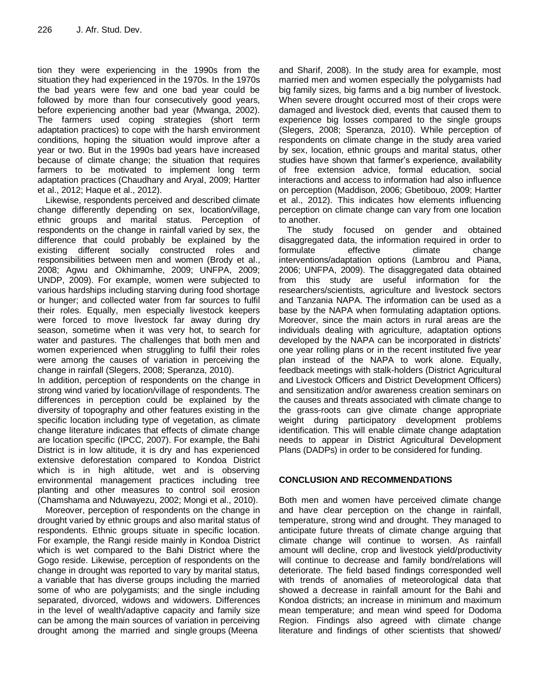tion they were experiencing in the 1990s from the situation they had experienced in the 1970s. In the 1970s the bad years were few and one bad year could be followed by more than four consecutively good years, before experiencing another bad year (Mwanga, 2002). The farmers used coping strategies (short term adaptation practices) to cope with the harsh environment conditions, hoping the situation would improve after a year or two. But in the 1990s bad years have increased because of climate change; the situation that requires farmers to be motivated to implement long term adaptation practices (Chaudhary and Aryal, 2009; Hartter et al., 2012; Haque et al., 2012).

Likewise, respondents perceived and described climate change differently depending on sex, location/village, ethnic groups and marital status. Perception of respondents on the change in rainfall varied by sex, the difference that could probably be explained by the existing different socially constructed roles and responsibilities between men and women (Brody et al., 2008; Agwu and Okhimamhe, 2009; UNFPA, 2009; UNDP, 2009). For example, women were subjected to various hardships including starving during food shortage or hunger; and collected water from far sources to fulfil their roles. Equally, men especially livestock keepers were forced to move livestock far away during dry season, sometime when it was very hot, to search for water and pastures. The challenges that both men and women experienced when struggling to fulfil their roles were among the causes of variation in perceiving the change in rainfall (Slegers, 2008; Speranza, 2010).

In addition, perception of respondents on the change in strong wind varied by location/village of respondents. The differences in perception could be explained by the diversity of topography and other features existing in the specific location including type of vegetation, as climate change literature indicates that effects of climate change are location specific (IPCC, 2007). For example, the Bahi District is in low altitude, it is dry and has experienced extensive deforestation compared to Kondoa District which is in high altitude, wet and is observing environmental management practices including tree planting and other measures to control soil erosion (Chamshama and Nduwayezu, 2002; Mongi et al., 2010).

Moreover, perception of respondents on the change in drought varied by ethnic groups and also marital status of respondents. Ethnic groups situate in specific location. For example, the Rangi reside mainly in Kondoa District which is wet compared to the Bahi District where the Gogo reside. Likewise, perception of respondents on the change in drought was reported to vary by marital status, a variable that has diverse groups including the married some of who are polygamists; and the single including separated, divorced, widows and widowers. Differences in the level of wealth/adaptive capacity and family size can be among the main sources of variation in perceiving drought among the married and single groups (Meena

and Sharif, 2008). In the study area for example, most married men and women especially the polygamists had big family sizes, big farms and a big number of livestock. When severe drought occurred most of their crops were damaged and livestock died, events that caused them to experience big losses compared to the single groups (Slegers, 2008; Speranza, 2010). While perception of respondents on climate change in the study area varied by sex, location, ethnic groups and marital status, other studies have shown that farmer's experience, availability of free extension advice, formal education, social interactions and access to information had also influence on perception (Maddison, 2006; Gbetibouo, 2009; Hartter et al., 2012). This indicates how elements influencing perception on climate change can vary from one location to another.

The study focused on gender and obtained disaggregated data, the information required in order to formulate effective climate change interventions/adaptation options (Lambrou and Piana, 2006; UNFPA, 2009). The disaggregated data obtained from this study are useful information for the researchers/scientists, agriculture and livestock sectors and Tanzania NAPA. The information can be used as a base by the NAPA when formulating adaptation options. Moreover, since the main actors in rural areas are the individuals dealing with agriculture, adaptation options developed by the NAPA can be incorporated in districts' one year rolling plans or in the recent instituted five year plan instead of the NAPA to work alone. Equally, feedback meetings with stalk-holders (District Agricultural and Livestock Officers and District Development Officers) and sensitization and/or awareness creation seminars on the causes and threats associated with climate change to the grass-roots can give climate change appropriate weight during participatory development problems identification. This will enable climate change adaptation needs to appear in District Agricultural Development Plans (DADPs) in order to be considered for funding.

## **CONCLUSION AND RECOMMENDATIONS**

Both men and women have perceived climate change and have clear perception on the change in rainfall, temperature, strong wind and drought. They managed to anticipate future threats of climate change arguing that climate change will continue to worsen. As rainfall amount will decline, crop and livestock yield/productivity will continue to decrease and family bond/relations will deteriorate. The field based findings corresponded well with trends of anomalies of meteorological data that showed a decrease in rainfall amount for the Bahi and Kondoa districts; an increase in minimum and maximum mean temperature; and mean wind speed for Dodoma Region. Findings also agreed with climate change literature and findings of other scientists that showed/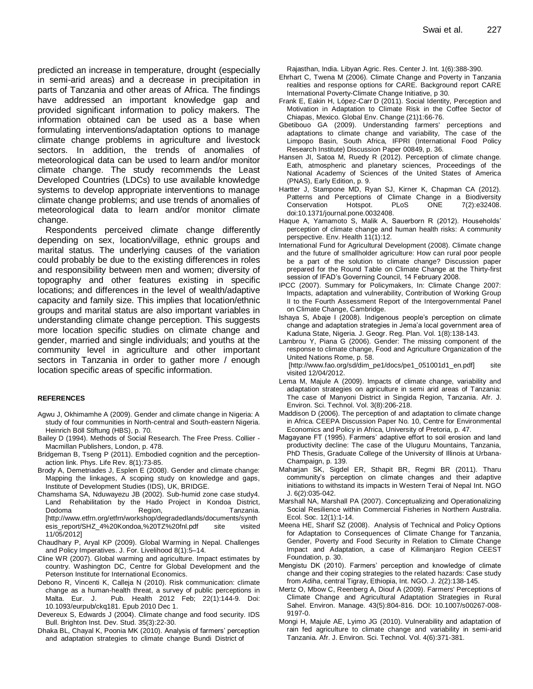predicted an increase in temperature, drought (especially in semi-arid areas) and a decrease in precipitation in parts of Tanzania and other areas of Africa. The findings have addressed an important knowledge gap and provided significant information to policy makers. The information obtained can be used as a base when formulating interventions/adaptation options to manage climate change problems in agriculture and livestock sectors. In addition, the trends of anomalies of meteorological data can be used to learn and/or monitor climate change. The study recommends the Least Developed Countries (LDCs) to use available knowledge systems to develop appropriate interventions to manage climate change problems; and use trends of anomalies of meteorological data to learn and/or monitor climate change.

Respondents perceived climate change differently depending on sex, location/village, ethnic groups and marital status. The underlying causes of the variation could probably be due to the existing differences in roles and responsibility between men and women; diversity of topography and other features existing in specific locations; and differences in the level of wealth/adaptive capacity and family size. This implies that location/ethnic groups and marital status are also important variables in understanding climate change perception. This suggests more location specific studies on climate change and gender, married and single individuals; and youths at the community level in agriculture and other important sectors in Tanzania in order to gather more / enough location specific areas of specific information.

#### **REFERENCES**

- Agwu J, Okhimamhe A (2009). Gender and climate change in Nigeria: A study of four communities in North-central and South-eastern Nigeria. Heinrich Böll Stiftung (HBS), p. 70.
- Bailey D (1994). Methods of Social Research. The Free Press. Collier Macmillan Publishers, London, p. 478.
- Bridgeman B, Tseng P (2011). Embodied cognition and the perceptionaction link. Phys. Life Rev. 8(1):73-85.
- Brody A, Demetriades J, Esplen E (2008). Gender and climate change: Mapping the linkages, A scoping study on knowledge and gaps, Institute of Development Studies (IDS), UK, BRIDGE.
- Chamshama SA, Nduwayezu JB (2002). Sub-humid zone case study4. Land Rehabilitation by the Hado Project in Kondoa District, Dodoma Region, Tanzania. [\[http://www.etfrn.org/etfrn/workshop/degradedlands/documents/synth](http://www.etfrn.org/etfrn/workshop/degradedlands/documents/synthesis_report/SHZ_4%20Kondoa,%20TZ%20fnl.pdf) [esis\\_report/SHZ\\_4%20Kondoa,%20TZ%20fnl.pdf](http://www.etfrn.org/etfrn/workshop/degradedlands/documents/synthesis_report/SHZ_4%20Kondoa,%20TZ%20fnl.pdf) site visited 11/05/2012]
- Chaudhary P, Aryal KP (2009). Global Warming in Nepal. Challenges and Policy Imperatives. J. For. Livelihood 8(1):5–14.
- Cline WR (2007). Global warming and agriculture. Impact estimates by country. Washington DC, Centre for Global Development and the Peterson Institute for International Economics.
- Debono R, Vincenti K, Calleja N (2010). Risk communication: climate change as a human-health threat, a survey of public perceptions in Malta. Eur. J. Pub. Health 2012 Feb; 22(1):144-9. Doi: 10.1093/eurpub/ckq181. Epub 2010 Dec 1.
- Devereux S, Edwards J (2004). Climate change and food security. IDS Bull. Brighton Inst. Dev. Stud. 35(3):22-30.
- Dhaka BL, Chayal K, Poonia MK (2010). Analysis of farmers' perception and adaptation strategies to climate change Bundi District of

Rajasthan, India. Libyan Agric. Res. Center J. Int. 1(6):388-390.

- Ehrhart C, Twena M (2006). Climate Change and Poverty in Tanzania realities and response options for CARE. Background report CARE International Poverty-Climate Change Initiative, p 30.
- Frank E, Eakin H, López-Carr D (2011). Social Identity, Perception and Motivation in Adaptation to Climate Risk in the Coffee Sector of Chiapas, Mexico. Global Env. Change [\(21\)1:6](http://www.sciencedirect.com/science?_ob=PublicationURL&_tockey=%23TOC%236020%232011%23999789998%232872748%23FLA%23&_cdi=6020&_pubType=J&view=c&_auth=y&_acct=C000059608&_version=1&_urlVersion=0&_userid=112642&md5=1e8ad4cff21f6390b13e64db749b7384)6-76.
- Gbetibouo GA (2009). Understanding farmers' perceptions and adaptations to climate change and variability, The case of the Limpopo Basin, South Africa, IFPRI (International Food Policy Research Institute) Discussion Paper 00849, p. 36.
- Hansen JI, Satoa M, Ruedy R (2012). Perception of climate change. Eath, atmospheric and planetary sciences, Proceedings of the National Academy of Sciences of the United States of America (PNAS), Early Edition, p. 9.
- Hartter J, Stampone MD, Ryan SJ, Kirner K, Chapman CA (2012). Patterns and Perceptions of Climate Change in a Biodiversity<br>Conservation Hotspot. PLoS ONE 7(2):e32408. Conservation Hotspot. PLoS ONE 7(2):e32408. doi:10.1371/journal.pone.0032408.
- Haque A, Yamamoto S, Malik A, Sauerborn R (2012). Households' perception of climate change and human health risks: A community perspective. Env. Health 11(1):12.
- International Fund for Agricultural Development (2008). Climate change and the future of smallholder agriculture: How can rural poor people be a part of the solution to climate change? Discussion paper prepared for the Round Table on Climate Change at the Thirty-first session of IFAD's Governing Council, 14 February 2008.
- IPCC (2007). Summary for Policymakers, In: Climate Change 2007: Impacts, adaptation and vulnerability, Contribution of Working Group II to the Fourth Assessment Report of the Intergovernmental Panel on Climate Change, Cambridge.
- Ishaya S, Abaje I (2008). Indigenous people's perception on climate change and adaptation strategies in Jema'a local government area of Kaduna State, Nigeria. J. Geogr. Reg. Plan. Vol. 1(8):138-143.
- Lambrou Y, Piana G (2006). Gender: The missing component of the response to climate change, Food and Agriculture Organization of the United Nations Rome, p. 58.

[http://www.fao.org/sd/dim\_pe1/docs/pe1\_051001d1\_en.pdf] site visited 12/04/2012.

- Lema M, Majule A (2009). Impacts of climate change, variability and adaptation strategies on agriculture in semi arid areas of Tanzania: The case of Manyoni District in Singida Region, Tanzania. Afr. J. Environ. Sci. Technol. Vol. 3(8):206-218.
- Maddison D (2006). The perception of and adaptation to climate change in Africa. CEEPA Discussion Paper No. 10, Centre for Environmental Economics and Policy in Africa, University of Pretoria, p. 47.
- Magayane FT (1995). Farmers' adaptive effort to soil erosion and land productivity decline: The case of the Uluguru Mountains, Tanzania, PhD Thesis, Graduate College of the University of Illinois at Urbana-Champaign, p. 139.
- Maharjan SK, Sigdel ER, Sthapit BR, Regmi BR (2011). Tharu community's perception on climate changes and their adaptive initiations to withstand its impacts in Western Terai of Nepal Int. NGO J. 6(2):035-042.
- Marshall NA, Marshall PA (2007). Conceptualizing and Operationalizing Social Resilience within Commercial Fisheries in Northern Australia. Ecol. Soc. 12(1):1-14.
- Meena HE, Sharif SZ (2008). Analysis of Technical and Policy Options for Adaptation to Consequences of Climate Change for Tanzania, Gender, Poverty and Food Security in Relation to Climate Change Impact and Adaptation, a case of Kilimanjaro Region CEEST Foundation, p. 30.
- Mengistu DK (2010). Farmers' perception and knowledge of climate change and their coping strategies to the related hazards: Case study from *Adiha*, central Tigray, Ethiopia, Int. NGO. J. 2(2):138-145.
- Mertz O, Mbow C, Reenberg A, Diouf A (2009). Farmers' Perceptions of Climate Change and Agricultural Adaptation Strategies in Rural Sahel. Environ. Manage. 43(5):804-816. DOI: 10.1007/s00267-008- 9197-0.
- Mongi H, Majule AE, Lyimo JG (2010). Vulnerability and adaptation of rain fed agriculture to climate change and variability in semi-arid Tanzania. Afr. J. Environ. Sci. Technol. Vol. 4(6):371-381.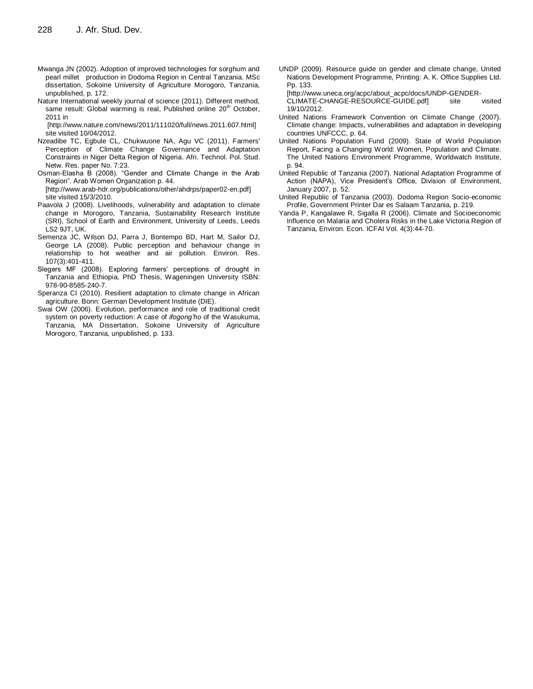- Mwanga JN (2002). Adoption of improved technologies for sorghum and pearl millet production in Dodoma Region in Central Tanzania. MSc dissertation, Sokoine University of Agriculture Morogoro, Tanzania, unpublished, p. 172.
- Nature International weekly journal of science (2011). Different method, same result: Global warming is real, Published online 20<sup>th</sup> October, 2011 in

[\[http://www.nature.com/news/2011/111020/full/news.2011.607.html\]](http://www.nature.com/news/2011/111020/full/news.2011.607.html%5d%20site%20visited%2010/04/2012)  [site visited 10/04/2012.](http://www.nature.com/news/2011/111020/full/news.2011.607.html%5d%20site%20visited%2010/04/2012)

Nzeadibe TC, Egbule CL, Chukwuone NA, Agu VC (2011). Farmers' Perception of Climate Change Governance and Adaptation Constraints in Niger Delta Region of Nigeria. Afri. Technol. Pol. Stud. Netw. Res. paper No. 7:23.

Osman-Elasha B (2008). "Gender and Climate Change in the Arab Region". Arab Women Organization p. 44. [\[http://www.arab-hdr.org/publications/other/ahdrps/paper02-en.pdf\]](http://www.arab-hdr.org/publications/other/ahdrps/paper02-en.pdf) site visited 15/3/2010.

- [Paavola](http://www.sciencedirect.com/science?_ob=ArticleURL&_udi=B6VP6-4T3KTK1-1&_user=10&_rdoc=1&_fmt=&_orig=search&_sort=d&_docanchor=&view=c&_searchStrId=1021087542&_rerunOrigin=google&_acct=C000050221&_version=1&_urlVersion=0&_userid=10&md5=8e44191f393a0ee60e4d23b2326d49d3#vt1#vt1) J (2008). Livelihoods, vulnerability and adaptation to climate change in Morogoro, Tanzania, Sustainability Research Institute (SRI), School of Earth and Environment, University of Leeds, Leeds LS2 9JT, UK.
- Semenza JC, Wilson DJ, Parra J, Bontempo BD, Hart M, Sailor DJ, George LA (2008). Public perception and behaviour change in relationship to hot weather and air pollution. Environ. Res. 107(3):401-411.
- Slegers MF (2008). Exploring farmers' perceptions of drought in Tanzania and Ethiopia, PhD Thesis, Wageningen University ISBN: 978-90-8585-240-7.
- Speranza CI (2010). Resilient adaptation to climate change in African agriculture. Bonn: German Development Institute (DIE).
- Swai OW (2006). Evolution, performance and role of traditional credit system on poverty reduction: A case of *ifogong'ho* of the Wasukuma, Tanzania, MA Dissertation, Sokoine University of Agriculture Morogoro, Tanzania, unpublished, p. 133.

UNDP (2009). Resource guide on gender and climate change, United Nations Development Programme, Printing: A. K. Office Supplies Ltd. Pp. 133.

[http://www.uneca.org/acpc/about\_acpc/docs/UNDP-GENDER-

CLIMATE-CHANGE-RESOURCE-GUIDE.pdf] site visited 19/10/2012.

- United Nations Framework Convention on Climate Change (2007). Climate change: Impacts, vulnerabilities and adaptation in developing countries UNFCCC, p. 64.
- United Nations Population Fund (2009). State of World Population Report, Facing a Changing World: Women, Population and Climate. The United Nations Environment Programme, Worldwatch Institute, p. 94.
- United Republic of Tanzania (2007). National Adaptation Programme of Action (NAPA), Vice President's Office, Division of Environment, January 2007, p. 52.
- United Republic of Tanzania (2003). Dodoma Region Socio-economic Profile, Government Printer Dar es Salaam Tanzania, p. 219.
- Yanda P, Kangalawe R, Sigalla R (2006). Climate and Socioeconomic Influence on Malaria and Cholera Risks in the Lake Victoria Region of Tanzania, Environ. Econ*.* ICFAI Vol. 4(3):44-70.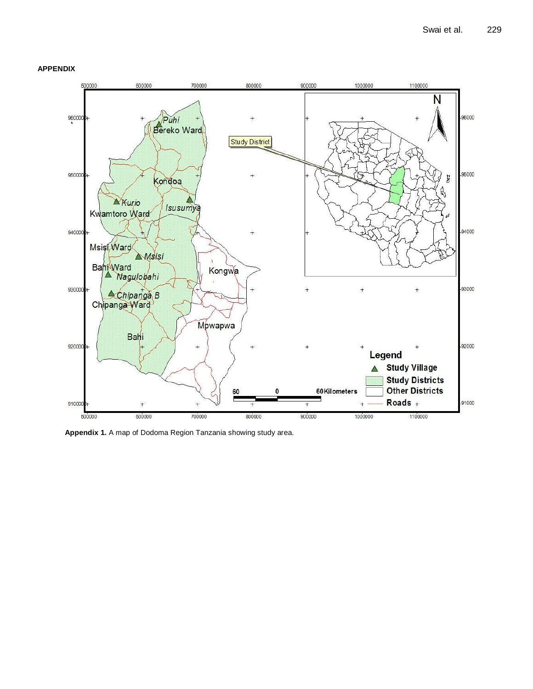



**Appendix 1.** A map of Dodoma Region Tanzania showing study area.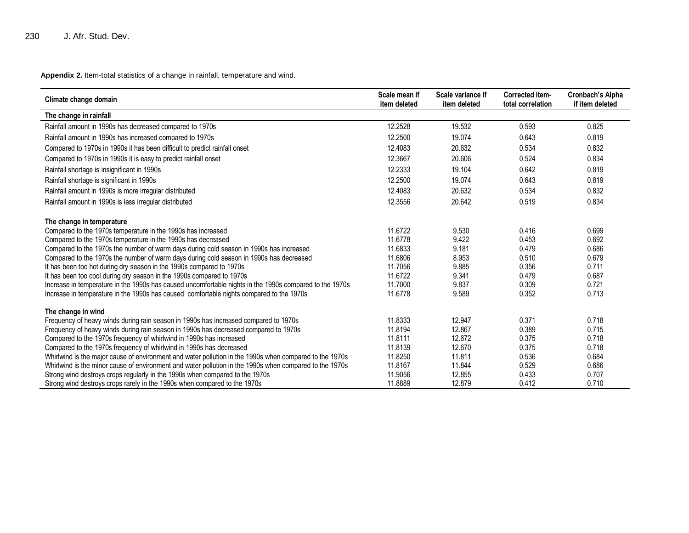**Appendix 2.** Item-total statistics of a change in rainfall, temperature and wind.

| Climate change domain                                                                                                                                                                               | Scale mean if<br>item deleted | Scale variance if<br>item deleted | Corrected item-<br>total correlation | Cronbach's Alpha<br>if item deleted |
|-----------------------------------------------------------------------------------------------------------------------------------------------------------------------------------------------------|-------------------------------|-----------------------------------|--------------------------------------|-------------------------------------|
| The change in rainfall                                                                                                                                                                              |                               |                                   |                                      |                                     |
| Rainfall amount in 1990s has decreased compared to 1970s                                                                                                                                            | 12.2528                       | 19.532                            | 0.593                                | 0.825                               |
| Rainfall amount in 1990s has increased compared to 1970s                                                                                                                                            | 12.2500                       | 19.074                            | 0.643                                | 0.819                               |
| Compared to 1970s in 1990s it has been difficult to predict rainfall onset                                                                                                                          | 12.4083                       | 20.632                            | 0.534                                | 0.832                               |
| Compared to 1970s in 1990s it is easy to predict rainfall onset                                                                                                                                     | 12.3667                       | 20.606                            | 0.524                                | 0.834                               |
| Rainfall shortage is insignificant in 1990s                                                                                                                                                         | 12.2333                       | 19.104                            | 0.642                                | 0.819                               |
| Rainfall shortage is significant in 1990s                                                                                                                                                           | 12.2500                       | 19.074                            | 0.643                                | 0.819                               |
| Rainfall amount in 1990s is more irregular distributed                                                                                                                                              | 12.4083                       | 20.632                            | 0.534                                | 0.832                               |
| Rainfall amount in 1990s is less irregular distributed                                                                                                                                              | 12.3556                       | 20.642                            | 0.519                                | 0.834                               |
| The change in temperature                                                                                                                                                                           |                               |                                   |                                      |                                     |
| Compared to the 1970s temperature in the 1990s has increased                                                                                                                                        | 11.6722                       | 9.530                             | 0.416                                | 0.699                               |
| Compared to the 1970s temperature in the 1990s has decreased                                                                                                                                        | 11.6778                       | 9.422                             | 0.453                                | 0.692                               |
| Compared to the 1970s the number of warm days during cold season in 1990s has increased                                                                                                             | 11.6833                       | 9.181                             | 0.479                                | 0.686                               |
| Compared to the 1970s the number of warm days during cold season in 1990s has decreased                                                                                                             | 11.6806                       | 8.953                             | 0.510                                | 0.679                               |
| It has been too hot during dry season in the 1990s compared to 1970s                                                                                                                                | 11.7056                       | 9.885                             | 0.356                                | 0.711                               |
| It has been too cool during dry season in the 1990s compared to 1970s                                                                                                                               | 11.6722                       | 9.341                             | 0.479                                | 0.687                               |
| Increase in temperature in the 1990s has caused uncomfortable nights in the 1990s compared to the 1970s<br>Increase in temperature in the 1990s has caused comfortable nights compared to the 1970s | 11.7000<br>11.6778            | 9.837<br>9.589                    | 0.309<br>0.352                       | 0.721<br>0.713                      |
|                                                                                                                                                                                                     |                               |                                   |                                      |                                     |
| The change in wind                                                                                                                                                                                  |                               |                                   |                                      |                                     |
| Frequency of heavy winds during rain season in 1990s has increased compared to 1970s                                                                                                                | 11.8333                       | 12.947                            | 0.371                                | 0.718                               |
| Frequency of heavy winds during rain season in 1990s has decreased compared to 1970s                                                                                                                | 11.8194                       | 12.867                            | 0.389                                | 0.715                               |
| Compared to the 1970s frequency of whirlwind in 1990s has increased                                                                                                                                 | 11.8111                       | 12.672                            | 0.375                                | 0.718                               |
| Compared to the 1970s frequency of whirlwind in 1990s has decreased                                                                                                                                 | 11.8139                       | 12.670                            | 0.375                                | 0.718                               |
| Whirlwind is the major cause of environment and water pollution in the 1990s when compared to the 1970s                                                                                             | 11.8250                       | 11.811                            | 0.536                                | 0.684                               |
| Whirlwind is the minor cause of environment and water pollution in the 1990s when compared to the 1970s                                                                                             | 11.8167                       | 11.844                            | 0.529                                | 0.686                               |
| Strong wind destroys crops regularly in the 1990s when compared to the 1970s                                                                                                                        | 11.9056                       | 12.855                            | 0.433                                | 0.707                               |
| Strong wind destroys crops rarely in the 1990s when compared to the 1970s                                                                                                                           | 11.8889                       | 12.879                            | 0.412                                | 0.710                               |